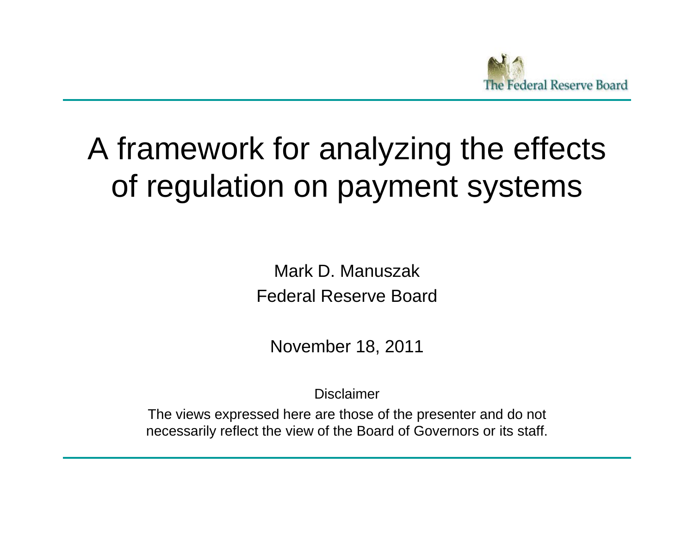

## A framework for analyzing the effects of regulation on payment systems

Mark D. ManuszakFederal Reserve Board

November 18, 2011

Disclaimer

The views expressed here are those of the presenter and do not necessaril y reflect the view of the Board of Governors or its staff.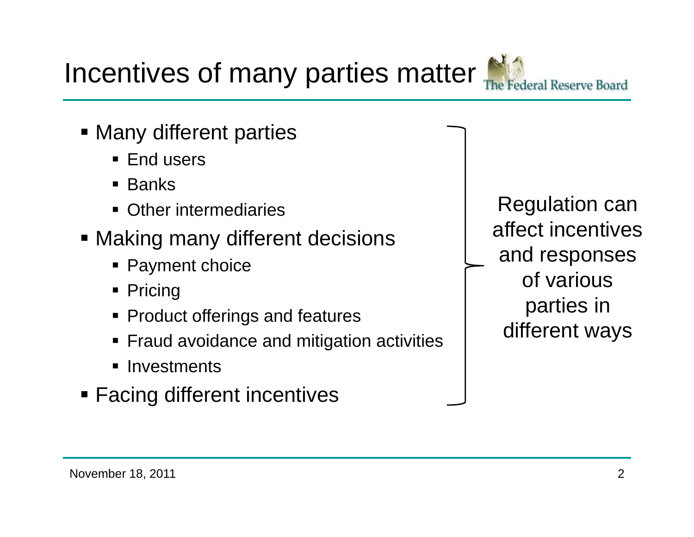November 18, 2011

Incentives of many parties matter

- **Many different parties** 
	- End users
	- Banks
	- **Other intermediaries**
- Making many different decisions
	- Payment choice
	- $\textcolor{red}{\bullet}$  Pricing
	- **Product offerings and features**
	- Fraud avoidance and mitigation activities
	- **Investments**
- **Eacing different incentives**

Regulation can affect incentivesand responses of various parties in different ways

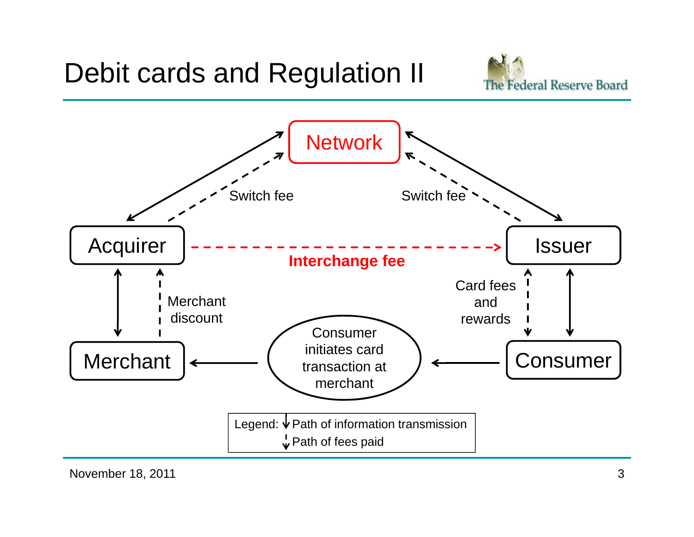

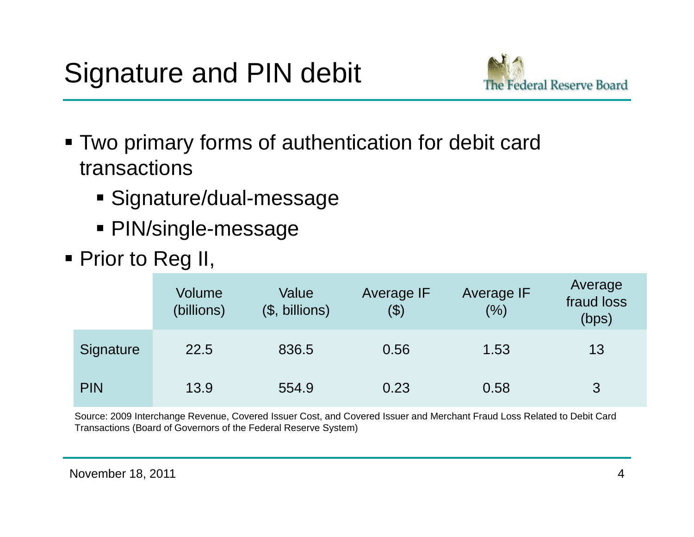

- Two primary forms of authentication for debit card transactions
	- Signature/dual-message
	- PIN/single-message
- Prior to Reg II,

|            | Volume<br>(billions) | Value<br>$($, billions)$ | Average IF<br>\$) | <b>Average IF</b><br>(%) | Average<br>fraud loss<br>(bps) |
|------------|----------------------|--------------------------|-------------------|--------------------------|--------------------------------|
| Signature  | 22.5                 | 836.5                    | 0.56              | 1.53                     | 13                             |
| <b>PIN</b> | 13.9                 | 554.9                    | 0.23              | 0.58                     | 3                              |

Source: 2009 Interchange Revenue, Covered Issuer Cost, and Covered Issuer and Merchant Fraud Loss Related to Debit Card Transactions (Board of Governors of the Federal Reserve System)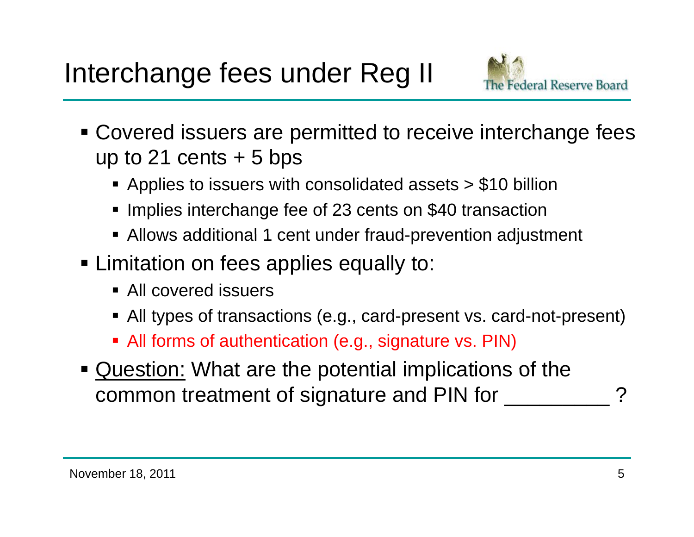

- **Covered issuers are permitted to receive interchange fees** up to 21 cents  $+5$  bps
	- Applies to issuers with consolidated assets > \$10 billion
	- **Implies interchange fee of 23 cents on \$40 transaction**
	- Allows additional 1 cent under fraud-prevention adjustment
- **Example 1** Limitation on fees applies equally to:
	- All covered issuers
	- All types of transactions (e.g., card-present vs. card-not-present)
	- All forms of authentication (e.g., signature vs. PIN)
- **Question: What are the potential implications of the** common treatment of signature and PIN for \_\_\_\_\_\_\_\_\_\_\_?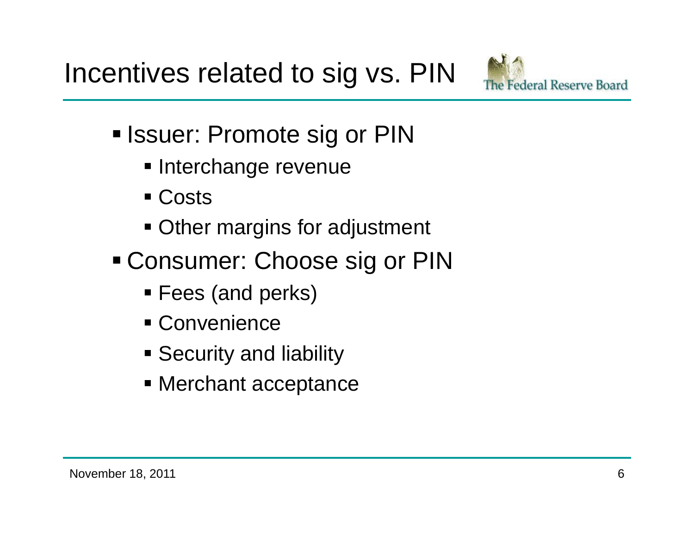Incentives related to sig vs. PIN



- Issuer: Promote sig or PIN
	- **Interchange revenue**
	- Costs
	- **Other margins for adjustment**
- Consumer: Choose sig or PIN
	- Fees (and perks)
	- Convenience
	- **Security and liability**
	- Merchant acceptance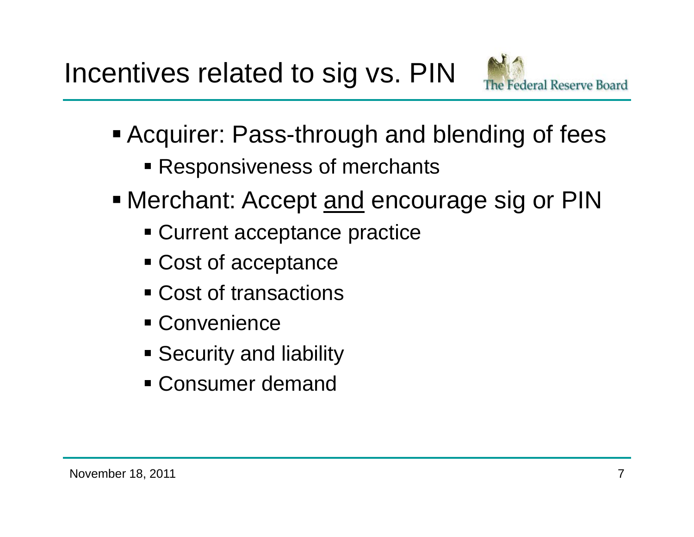

- Acquirer: Pass-through and blending of fees
	- **Responsiveness of merchants**
- Merchant: Accept <u>and</u> encourage sig or PIN
	- Current acceptance practice
	- Cost of acceptance
	- Cost of transactions
	- Convenience
	- **Security and liability**
	- Consumer demand